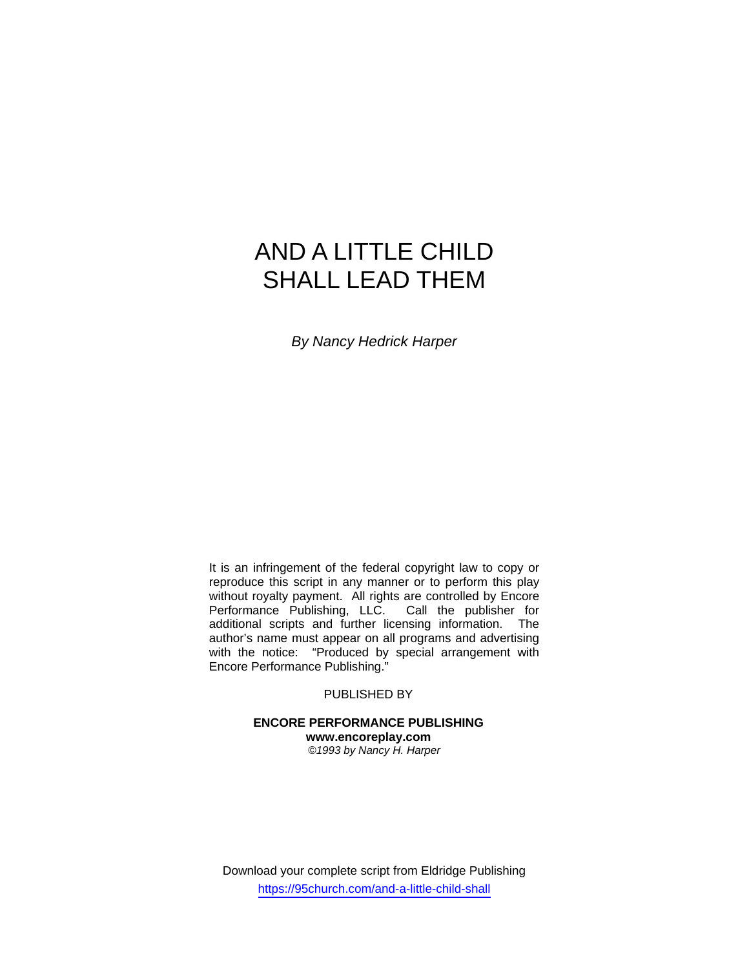# AND A LITTLE CHILD SHALL LEAD THEM

*By Nancy Hedrick Harper* 

It is an infringement of the federal copyright law to copy or reproduce this script in any manner or to perform this play without royalty payment. All rights are controlled by Encore<br>Performance Publishing, LLC. Call the publisher for Performance Publishing, LLC. additional scripts and further licensing information. The author's name must appear on all programs and advertising with the notice: "Produced by special arrangement with Encore Performance Publishing."

PUBLISHED BY

**ENCORE PERFORMANCE PUBLISHING www.encoreplay.com**  *©1993 by Nancy H. Harper* 

Download your complete script from Eldridge Publishing https://95church.com/and-a-little-child-shall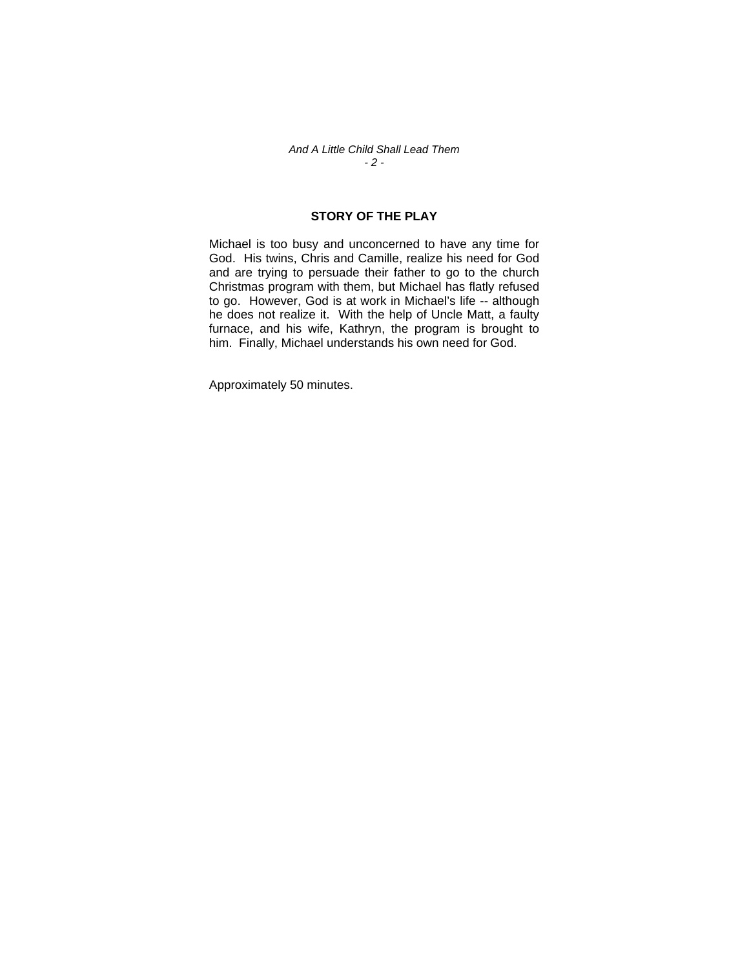#### *And A Little Child Shall Lead Them - 2 -*

## **STORY OF THE PLAY**

Michael is too busy and unconcerned to have any time for God. His twins, Chris and Camille, realize his need for God and are trying to persuade their father to go to the church Christmas program with them, but Michael has flatly refused to go. However, God is at work in Michael's life -- although he does not realize it. With the help of Uncle Matt, a faulty furnace, and his wife, Kathryn, the program is brought to him. Finally, Michael understands his own need for God.

Approximately 50 minutes.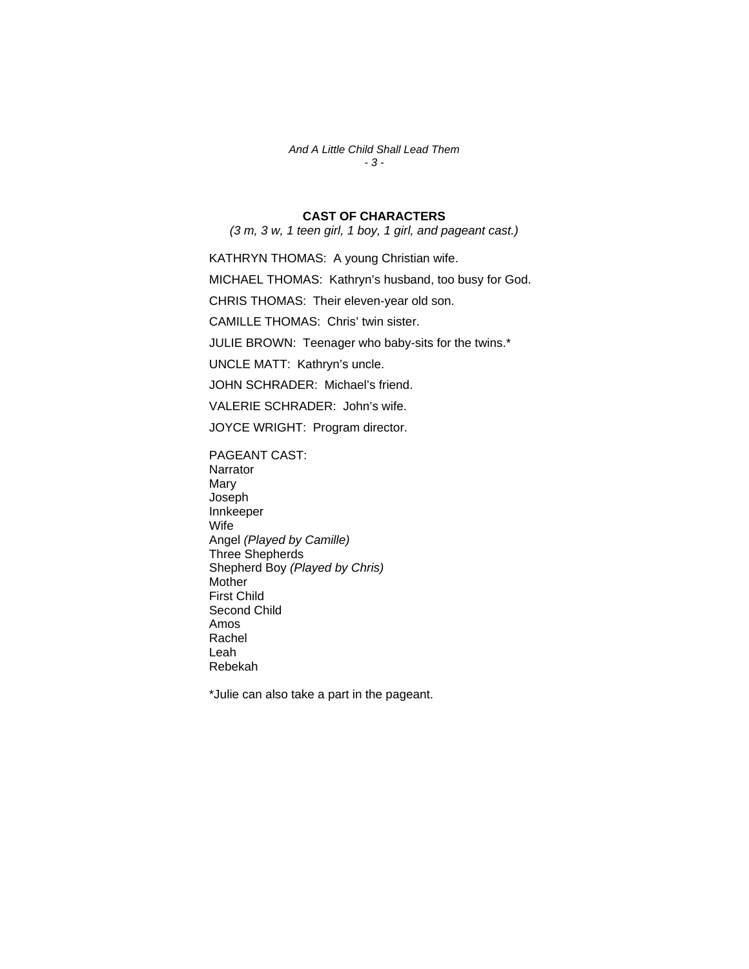*And A Little Child Shall Lead Them - 3 -* 

## **CAST OF CHARACTERS**

*(3 m, 3 w, 1 teen girl, 1 boy, 1 girl, and pageant cast.)* 

KATHRYN THOMAS: A young Christian wife. MICHAEL THOMAS: Kathryn's husband, too busy for God. CHRIS THOMAS: Their eleven-year old son. CAMILLE THOMAS: Chris' twin sister. JULIE BROWN: Teenager who baby-sits for the twins.\* UNCLE MATT: Kathryn's uncle. JOHN SCHRADER: Michael's friend. VALERIE SCHRADER: John's wife. JOYCE WRIGHT: Program director. PAGEANT CAST: **Narrator** Mary Joseph Innkeeper Wife

Angel *(Played by Camille)* Three Shepherds Shepherd Boy *(Played by Chris)* **Mother** First Child Second Child Amos Rachel Leah Rebekah

\*Julie can also take a part in the pageant.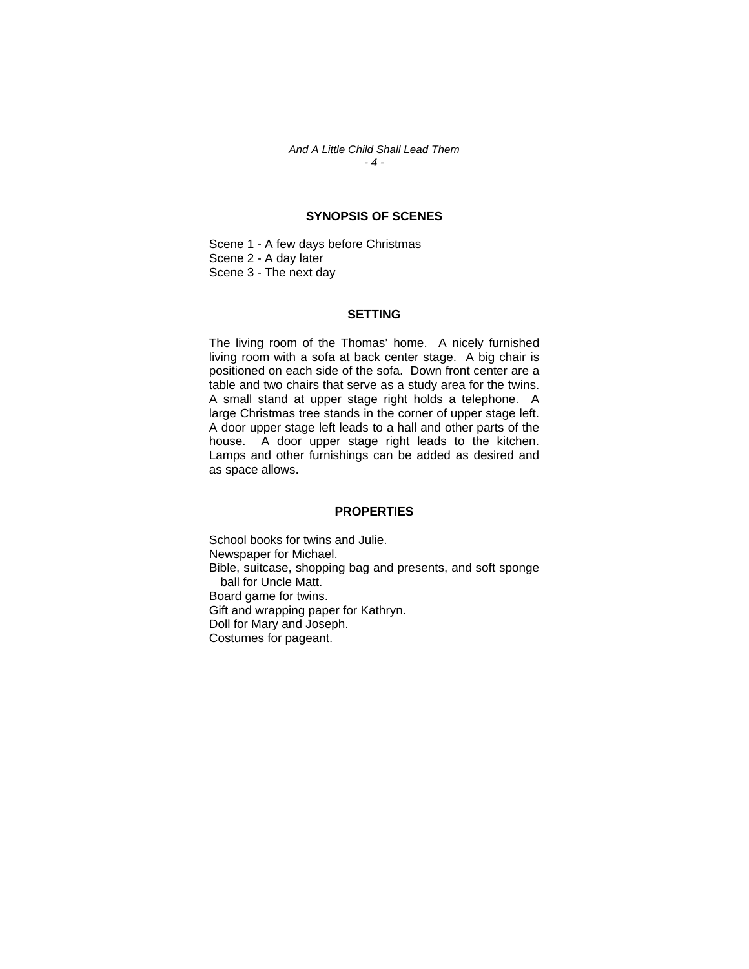*And A Little Child Shall Lead Them - 4 -* 

### **SYNOPSIS OF SCENES**

Scene 1 - A few days before Christmas Scene 2 - A day later Scene 3 - The next day

#### **SETTING**

The living room of the Thomas' home. A nicely furnished living room with a sofa at back center stage. A big chair is positioned on each side of the sofa. Down front center are a table and two chairs that serve as a study area for the twins. A small stand at upper stage right holds a telephone. A large Christmas tree stands in the corner of upper stage left. A door upper stage left leads to a hall and other parts of the house. A door upper stage right leads to the kitchen. Lamps and other furnishings can be added as desired and as space allows.

#### **PROPERTIES**

School books for twins and Julie. Newspaper for Michael. Bible, suitcase, shopping bag and presents, and soft sponge ball for Uncle Matt. Board game for twins. Gift and wrapping paper for Kathryn. Doll for Mary and Joseph. Costumes for pageant.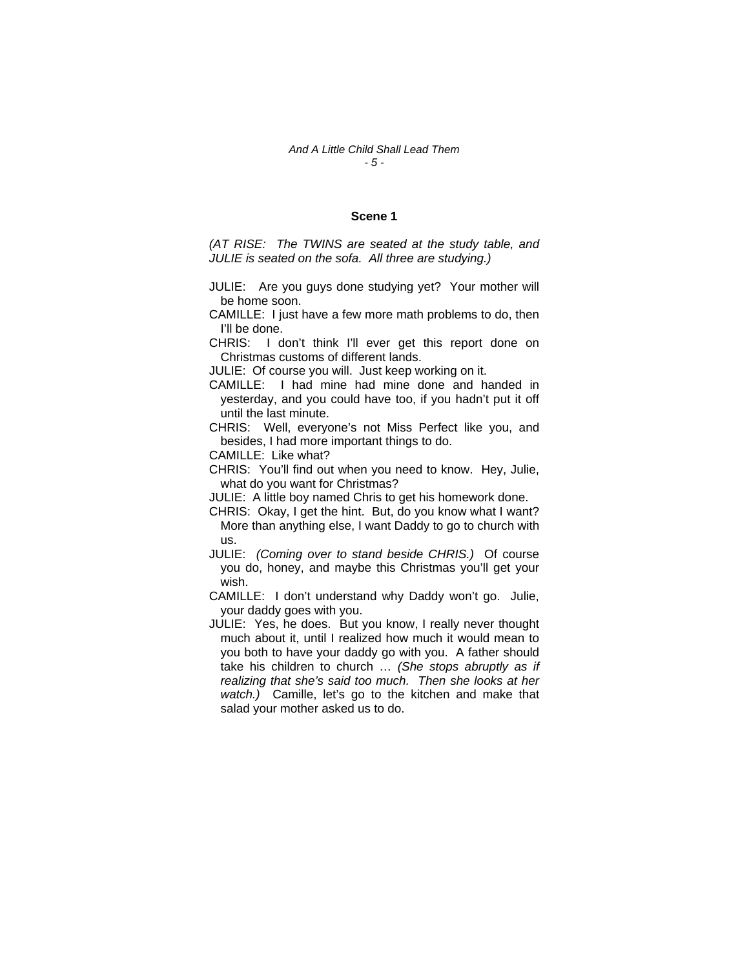#### **Scene 1**

*(AT RISE: The TWINS are seated at the study table, and JULIE is seated on the sofa. All three are studying.)* 

- JULIE: Are you guys done studying yet? Your mother will be home soon.
- CAMILLE: I just have a few more math problems to do, then I'll be done.
- CHRIS: I don't think I'll ever get this report done on Christmas customs of different lands.

JULIE: Of course you will. Just keep working on it.

- CAMILLE: I had mine had mine done and handed in yesterday, and you could have too, if you hadn't put it off until the last minute.
- CHRIS: Well, everyone's not Miss Perfect like you, and besides, I had more important things to do.

CAMILLE: Like what?

CHRIS: You'll find out when you need to know. Hey, Julie, what do you want for Christmas?

JULIE: A little boy named Chris to get his homework done.

- CHRIS: Okay, I get the hint. But, do you know what I want? More than anything else, I want Daddy to go to church with us.
- JULIE: *(Coming over to stand beside CHRIS.)* Of course you do, honey, and maybe this Christmas you'll get your wish.
- CAMILLE: I don't understand why Daddy won't go. Julie, your daddy goes with you.
- JULIE: Yes, he does. But you know, I really never thought much about it, until I realized how much it would mean to you both to have your daddy go with you. A father should take his children to church … *(She stops abruptly as if realizing that she's said too much. Then she looks at her watch.)* Camille, let's go to the kitchen and make that salad your mother asked us to do.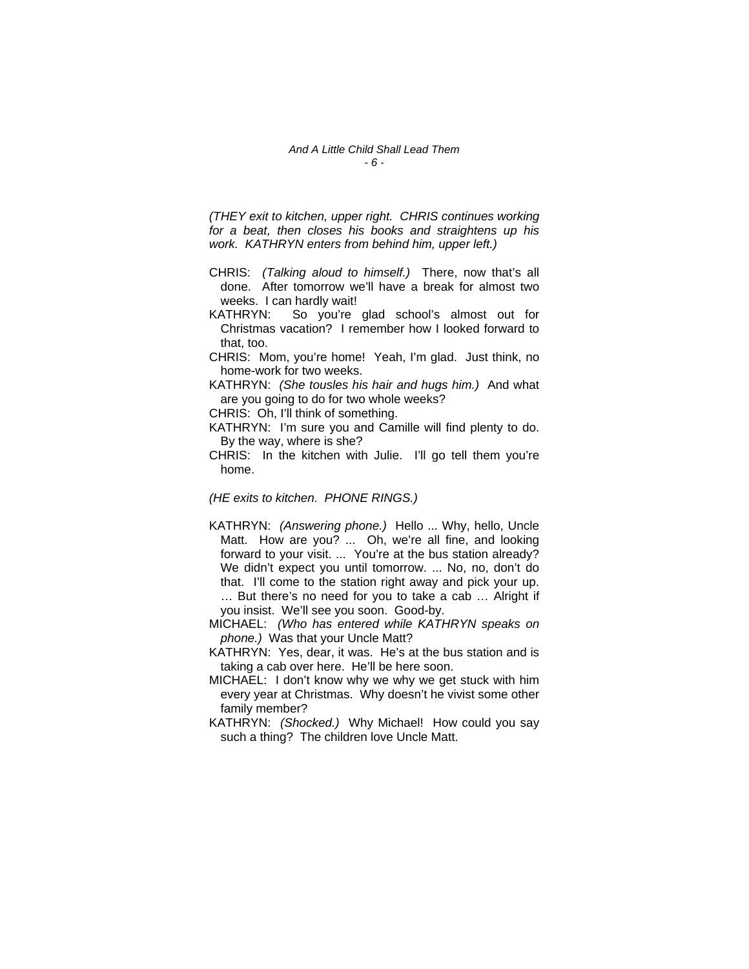*(THEY exit to kitchen, upper right. CHRIS continues working for a beat, then closes his books and straightens up his work. KATHRYN enters from behind him, upper left.)* 

- CHRIS: *(Talking aloud to himself.)* There, now that's all done. After tomorrow we'll have a break for almost two weeks. I can hardly wait!
- KATHRYN: So you're glad school's almost out for Christmas vacation? I remember how I looked forward to that, too.

CHRIS: Mom, you're home! Yeah, I'm glad. Just think, no home-work for two weeks.

KATHRYN: *(She tousles his hair and hugs him.)* And what are you going to do for two whole weeks?

CHRIS: Oh, I'll think of something.

KATHRYN: I'm sure you and Camille will find plenty to do. By the way, where is she?

CHRIS: In the kitchen with Julie. I'll go tell them you're home.

#### *(HE exits to kitchen. PHONE RINGS.)*

- KATHRYN: *(Answering phone.)* Hello ... Why, hello, Uncle Matt. How are you? ... Oh, we're all fine, and looking forward to your visit. ... You're at the bus station already? We didn't expect you until tomorrow. ... No, no, don't do that. I'll come to the station right away and pick your up. … But there's no need for you to take a cab … Alright if you insist. We'll see you soon. Good-by.
- MICHAEL: *(Who has entered while KATHRYN speaks on phone.)* Was that your Uncle Matt?
- KATHRYN: Yes, dear, it was. He's at the bus station and is taking a cab over here. He'll be here soon.
- MICHAEL: I don't know why we why we get stuck with him every year at Christmas. Why doesn't he vivist some other family member?
- KATHRYN: *(Shocked.)* Why Michael! How could you say such a thing? The children love Uncle Matt.